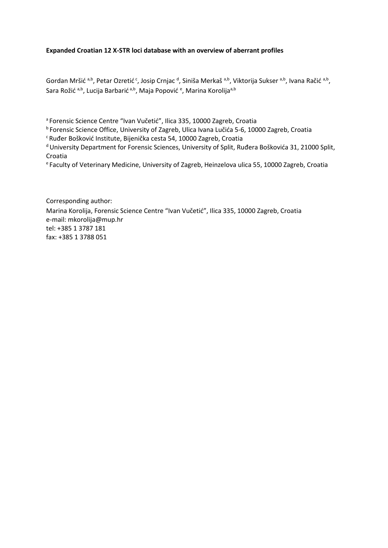### **Expanded Croatian 12 X-STR loci database with an overview of aberrant profiles**

Gordan Mršić <sup>a,b</sup>, Petar Ozretić <sup>c</sup>, Josip Crnjac <sup>d</sup>, Siniša Merkaš <sup>a,b</sup>, Viktorija Sukser <sup>a,b</sup>, Ivana Račić <sup>a,b</sup>, Sara Rožić <sup>a,b</sup>, Lucija Barbarić <sup>a,b</sup>, Maja Popović <sup>e</sup>, Marina Korolija<sup>a,b</sup>

<sup>a</sup> Forensic Science Centre "Ivan Vučetić", Ilica 335, 10000 Zagreb, Croatia

<sup>b</sup> Forensic Science Office, University of Zagreb, Ulica Ivana Lučića 5-6, 10000 Zagreb, Croatia

<sup>c</sup> Ruđer Bošković Institute, Bijenička cesta 54, 10000 Zagreb, Croatia

<sup>d</sup> University Department for Forensic Sciences, University of Split, Ruđera Boškovića 31, 21000 Split, Croatia

<sup>e</sup>Faculty of Veterinary Medicine, University of Zagreb, Heinzelova ulica 55, 10000 Zagreb, Croatia

Corresponding author: Marina Korolija, Forensic Science Centre "Ivan Vučetić", Ilica 335, 10000 Zagreb, Croatia e-mail: mkorolija@mup.hr tel: +385 1 3787 181 fax: +385 1 3788 051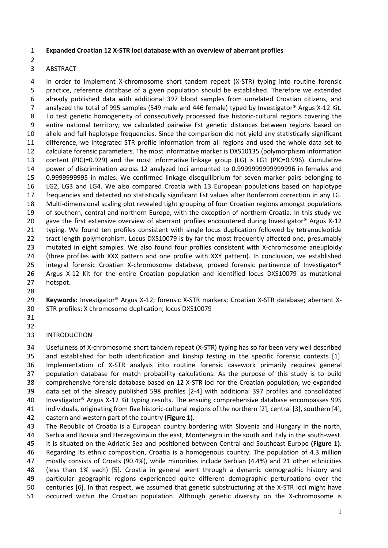### **Expanded Croatian 12 X-STR loci database with an overview of aberrant profiles**

## ABSTRACT

 In order to implement X-chromosome short tandem repeat (X-STR) typing into routine forensic practice, reference database of a given population should be established. Therefore we extended already published data with additional 397 blood samples from unrelated Croatian citizens, and 7 analyzed the total of 995 samples (549 male and 446 female) typed by Investigator<sup>®</sup> Argus X-12 Kit. To test genetic homogeneity of consecutively processed five historic-cultural regions covering the entire national territory, we calculated pairwise Fst genetic distances between regions based on allele and full haplotype frequencies. Since the comparison did not yield any statistically significant difference, we integrated STR profile information from all regions and used the whole data set to calculate forensic parameters. The most informative marker is DXS10135 (polymorphism information content (PIC)=0.929) and the most informative linkage group (LG) is LG1 (PIC=0.996). Cumulative power of discrimination across 12 analyzed loci amounted to 0.9999999999999996 in females and 0.9999999995 in males. We confirmed linkage disequilibrium for seven marker pairs belonging to LG2, LG3 and LG4. We also compared Croatia with 13 European populations based on haplotype frequencies and detected no statistically significant Fst values after Bonferroni correction in any LG. Multi-dimensional scaling plot revealed tight grouping of four Croatian regions amongst populations of southern, central and northern Europe, with the exception of northern Croatia. In this study we gave the first extensive overview of aberrant profiles encountered during Investigator® Argus X-12 typing. We found ten profiles consistent with single locus duplication followed by tetranucleotide 22 tract length polymorphism. Locus DXS10079 is by far the most frequently affected one, presumably mutated in eight samples. We also found four profiles consistent with X-chromosome aneuploidy (three profiles with XXX pattern and one profile with XXY pattern). In conclusion, we established 25 integral forensic Croatian X-chromosome database, proved forensic pertinence of Investigator® Argus X-12 Kit for the entire Croatian population and identified locus DXS10079 as mutational hotspot.

 **Keywords:** Investigator® Argus X-12; forensic X-STR markers; Croatian X-STR database; aberrant X-STR profiles; X chromosome duplication; locus DXS10079

#### INTRODUCTION

 Usefulness of X-chromosome short tandem repeat (X-STR) typing has so far been very well described and established for both identification and kinship testing in the specific forensic contexts [1]. Implementation of X-STR analysis into routine forensic casework primarily requires general population database for match probability calculations. As the purpose of this study is to build comprehensive forensic database based on 12 X-STR loci for the Croatian population, we expanded data set of the already published 598 profiles [2-4] with additional 397 profiles and consolidated Investigator® Argus X-12 Kit typing results. The ensuing comprehensive database encompasses 995 individuals, originating from five historic-cultural regions of the northern [2], central [3], southern [4], eastern and western part of the country **(Figure 1).**

 The Republic of Croatia is a European country bordering with Slovenia and Hungary in the north, Serbia and Bosnia and Herzegovina in the east, Montenegro in the south and Italy in the south-west. It is situated on the Adriatic Sea and positioned between Central and Southeast Europe **(Figure 1).** Regarding its ethnic composition, Croatia is a homogenous country. The population of 4.3 million mostly consists of Croats (90.4%), while minorities include Serbian (4.4%) and 21 other ethnicities (less than 1% each) [5]. Croatia in general went through a dynamic demographic history and particular geographic regions experienced quite different demographic perturbations over the centuries [6]. In that respect, we assumed that genetic substructuring at the X-STR loci might have occurred within the Croatian population. Although genetic diversity on the X-chromosome is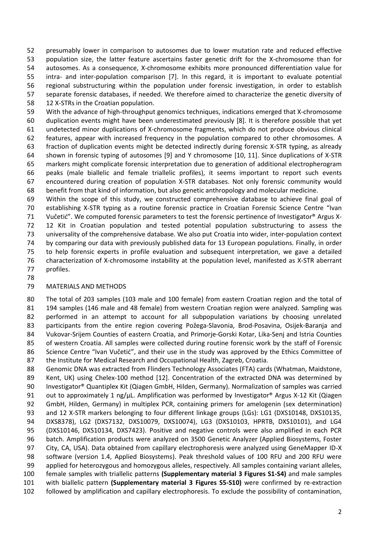presumably lower in comparison to autosomes due to lower mutation rate and reduced effective population size, the latter feature ascertains faster genetic drift for the X-chromosome than for autosomes. As a consequence, X-chromosome exhibits more pronounced differentiation value for intra- and inter-population comparison [7]. In this regard, it is important to evaluate potential regional substructuring within the population under forensic investigation, in order to establish separate forensic databases, if needed. We therefore aimed to characterize the genetic diversity of 12 X-STRs in the Croatian population.

 With the advance of high-throughput genomics techniques, indications emerged that X-chromosome duplication events might have been underestimated previously [8]. It is therefore possible that yet undetected minor duplications of X-chromosome fragments, which do not produce obvious clinical features, appear with increased frequency in the population compared to other chromosomes. A fraction of duplication events might be detected indirectly during forensic X-STR typing, as already shown in forensic typing of autosomes [9] and Y chromosome [10, 11]. Since duplications of X-STR markers might complicate forensic interpretation due to generation of additional electropherogram peaks (male biallelic and female triallelic profiles), it seems important to report such events encountered during creation of population X-STR databases. Not only forensic community would benefit from that kind of information, but also genetic anthropology and molecular medicine.

 Within the scope of this study, we constructed comprehensive database to achieve final goal of establishing X-STR typing as a routine forensic practice in Croatian Forensic Science Centre "Ivan 71 Vučetić". We computed forensic parameters to test the forensic pertinence of Investigator® Argus X- 12 Kit in Croatian population and tested potential population substructuring to assess the universality of the comprehensive database. We also put Croatia into wider, inter-population context by comparing our data with previously published data for 13 European populations. Finally, in order to help forensic experts in profile evaluation and subsequent interpretation, we gave a detailed characterization of X-chromosome instability at the population level, manifested as X-STR aberrant profiles.

#### MATERIALS AND METHODS

 The total of 203 samples (103 male and 100 female) from eastern Croatian region and the total of 194 samples (146 male and 48 female) from western Croatian region were analyzed. Sampling was 82 performed in an attempt to account for all subpopulation variations by choosing unrelated participants from the entire region covering Požega-Slavonia, Brod-Posavina, Osijek-Baranja and Vukovar-Srijem Counties of eastern Croatia, and Primorje-Gorski Kotar, Lika-Senj and Istria Counties of western Croatia. All samples were collected during routine forensic work by the staff of Forensic 86 Science Centre "Ivan Vučetić", and their use in the study was approved by the Ethics Committee of the Institute for Medical Research and Occupational Health, Zagreb, Croatia.

88 Genomic DNA was extracted from Flinders Technology Associates (FTA) cards (Whatman, Maidstone, Kent, UK) using Chelex-100 method [12]. Concentration of the extracted DNA was determined by Investigator® Quantiplex Kit (Qiagen GmbH, Hilden, Germany). Normalization of samples was carried 91 out to approximately 1 ng/µL. Amplification was performed by Investigator® Argus X-12 Kit (Qiagen GmbH, Hilden, Germany) in multiplex PCR, containing primers for amelogenin (sex determination) 93 and 12 X-STR markers belonging to four different linkage groups (LGs): LG1 (DXS10148, DXS10135, DXS8378), LG2 (DXS7132, DXS10079, DXS10074), LG3 (DXS10103, HPRTB, DXS10101), and LG4 (DXS10146, DXS10134, DXS7423). Positive and negative controls were also amplified in each PCR batch. Amplification products were analyzed on 3500 Genetic Analyzer (Applied Biosystems, Foster City, CA, USA). Data obtained from capillary electrophoresis were analyzed using GeneMapper ID-X software (version 1.4, Applied Biosystems). Peak threshold values of 100 RFU and 200 RFU were applied for heterozygous and homozygous alleles, respectively. All samples containing variant alleles, female samples with triallelic patterns **(Supplementary material 3 Figures S1-S4)** and male samples with biallelic pattern **(Supplementary material 3 Figures S5-S10)** were confirmed by re-extraction followed by amplification and capillary electrophoresis. To exclude the possibility of contamination,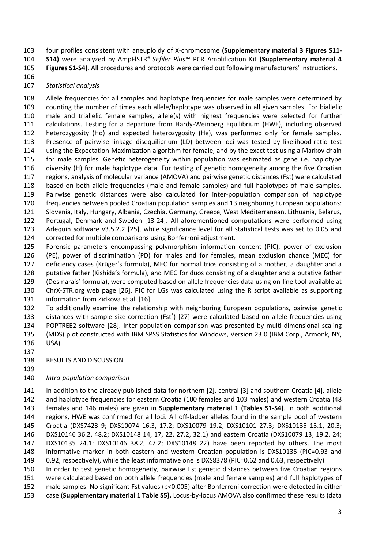four profiles consistent with aneuploidy of X-chromosome **(Supplementary material 3 Figures S11-**

**S14)** were analyzed by AmpFlSTR® *SEfiler Plus*™ PCR Amplification Kit **(Supplementary material 4** 

**Figures S1-S4)**. All procedures and protocols were carried out following manufacturers' instructions.

## *Statistical analysis*

 Allele frequencies for all samples and haplotype frequencies for male samples were determined by counting the number of times each allele/haplotype was observed in all given samples. For biallelic male and triallelic female samples, allele(s) with highest frequencies were selected for further calculations. Testing for a departure from Hardy-Weinberg Equilibrium (HWE), including observed heterozygosity (Ho) and expected heterozygosity (He), was performed only for female samples. Presence of pairwise linkage disequilibrium (LD) between loci was tested by likelihood-ratio test using the Expectation-Maximization algorithm for female, and by the exact test using a Markov chain for male samples. Genetic heterogeneity within population was estimated as gene i.e. haplotype diversity (H) for male haplotype data. For testing of genetic homogeneity among the five Croatian regions, analysis of molecular variance (AMOVA) and pairwise genetic distances (Fst) were calculated based on both allele frequencies (male and female samples) and full haplotypes of male samples. Pairwise genetic distances were also calculated for inter-population comparison of haplotype frequencies between pooled Croatian population samples and 13 neighboring European populations: Slovenia, Italy, Hungary, Albania, Czechia, Germany, Greece, West Mediterranean, Lithuania, Belarus, Portugal, Denmark and Sweden [13-24]. All aforementioned computations were performed using Arlequin software v3.5.2.2 [25], while significance level for all statistical tests was set to 0.05 and corrected for multiple comparisons using Bonferroni adjustment. Forensic parameters encompassing polymorphism information content (PIC), power of exclusion

 (PE), power of discrimination (PD) for males and for females, mean exclusion chance (MEC) for deficiency cases (Krüger's formula), MEC for normal trios consisting of a mother, a daughter and a putative father (Kishida's formula), and MEC for duos consisting of a daughter and a putative father (Desmarais' formula), were computed based on allele frequencies data using on-line tool available at ChrX-STR.org web page [26]. PIC for LGs was calculated using the R script available as supporting information from Zidkova et al. [16].

 To additionally examine the relationship with neighboring European populations, pairwise genetic 133 distances with sample size correction (Fst\*) [27] were calculated based on allele frequencies using POPTREE2 software [28]. Inter-population comparison was presented by multi-dimensional scaling (MDS) plot constructed with IBM SPSS Statistics for Windows, Version 23.0 (IBM Corp., Armonk, NY, USA).

- 
- RESULTS AND DISCUSSION
- 

# *Intra-population comparison*

 In addition to the already published data for northern [2], central [3] and southern Croatia [4], allele and haplotype frequencies for eastern Croatia (100 females and 103 males) and western Croatia (48 females and 146 males) are given in **Supplementary material 1 (Tables S1-S4)**. In both additional regions, HWE was confirmed for all loci. All off-ladder alleles found in the sample pool of western Croatia (DXS7423 9; DXS10074 16.3, 17.2; DXS10079 19.2; DXS10101 27.3; DXS10135 15.1, 20.3; DXS10146 36.2, 48.2; DXS10148 14, 17, 22, 27.2, 32.1) and eastern Croatia (DXS10079 13, 19.2, 24; DXS10135 24.1; DXS10146 38.2, 47.2; DXS10148 22) have been reported by others. The most informative marker in both eastern and western Croatian population is DXS10135 (PIC=0.93 and 0.92, respectively), while the least informative one is DXS8378 (PIC=0.62 and 0.63, respectively).

 In order to test genetic homogeneity, pairwise Fst genetic distances between five Croatian regions were calculated based on both allele frequencies (male and female samples) and full haplotypes of male samples. No significant Fst values (p<0.005) after Bonferroni correction were detected in either case (**Supplementary material 1 Table S5).** Locus-by-locus AMOVA also confirmed these results (data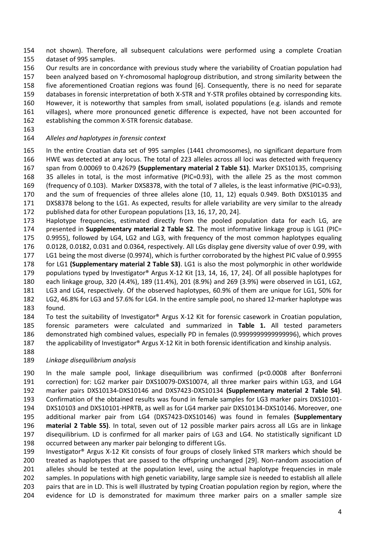not shown). Therefore, all subsequent calculations were performed using a complete Croatian dataset of 995 samples.

Our results are in concordance with previous study where the variability of Croatian population had

 been analyzed based on Y-chromosomal haplogroup distribution, and strong similarity between the five aforementioned Croatian regions was found [6]. Consequently, there is no need for separate

databases in forensic interpretation of both X-STR and Y-STR profiles obtained by corresponding kits.

However, it is noteworthy that samples from small, isolated populations (e.g. islands and remote

 villages), where more pronounced genetic difference is expected, have not been accounted for establishing the common X-STR forensic database.

## *Alleles and haplotypes in forensic context*

 In the entire Croatian data set of 995 samples (1441 chromosomes), no significant departure from HWE was detected at any locus. The total of 223 alleles across all loci was detected with frequency span from 0.00069 to 0.42679 **(Supplementary material 2 Table S1)**. Marker DXS10135, comprising 35 alleles in total, is the most informative (PIC=0.93), with the allele 25 as the most common (frequency of 0.103). Marker DXS8378, with the total of 7 alleles, is the least informative (PIC=0.93), and the sum of frequencies of three alleles alone (10, 11, 12) equals 0.949. Both DXS10135 and DXS8378 belong to the LG1. As expected, results for allele variability are very similar to the already

published data for other European populations [13, 16, 17, 20, 24].

 Haplotype frequencies, estimated directly from the pooled population data for each LG, are presented in **Supplementary material 2 Table S2**. The most informative linkage group is LG1 (PIC= 0.9955), followed by LG4, LG2 and LG3, with frequency of the most common haplotypes equaling 0.0128, 0.0182, 0.031 and 0.0364, respectively. All LGs display gene diversity value of over 0.99, with

LG1 being the most diverse (0.9974), which is further corroborated by the highest PIC value of 0.9955

for LG1 **(Supplementary material 2 Table S3)**. LG1 is also the most polymorphic in other worldwide

populations typed by Investigator® Argus X-12 Kit [13, 14, 16, 17, 24]. Of all possible haplotypes for

each linkage group, 320 (4.4%), 189 (11.4%), 201 (8.9%) and 269 (3.9%) were observed in LG1, LG2,

 LG3 and LG4, respectively. Of the observed haplotypes, 60.9% of them are unique for LG1, 50% for LG2, 46.8% for LG3 and 57.6% for LG4. In the entire sample pool, no shared 12-marker haplotype was

found.

 To test the suitability of Investigator® Argus X-12 Kit for forensic casework in Croatian population, forensic parameters were calculated and summarized in **Table 1.** All tested parameters demonstrated high combined values, especially PD in females (0.9999999999999996), which proves the applicability of Investigator® Argus X-12 Kit in both forensic identification and kinship analysis.

# *Linkage disequilibrium analysis*

 In the male sample pool, linkage disequilibrium was confirmed (p<0.0008 after Bonferroni correction) for: LG2 marker pair DXS10079-DXS10074, all three marker pairs within LG3, and LG4 marker pairs DXS10134-DXS10146 and DXS7423-DXS10134 **(Supplementary material 2 Table S4)**. Confirmation of the obtained results was found in female samples for LG3 marker pairs DXS10101- DXS10103 and DXS10101-HPRTB, as well as for LG4 marker pair DXS10134-DXS10146. Moreover, one additional marker pair from LG4 (DXS7423-DXS10146) was found in females **(Supplementary material 2 Table S5)**. In total, seven out of 12 possible marker pairs across all LGs are in linkage disequilibrium. LD is confirmed for all marker pairs of LG3 and LG4. No statistically significant LD occurred between any marker pair belonging to different LGs.

 Investigator® Argus X-12 Kit consists of four groups of closely linked STR markers which should be treated as haplotypes that are passed to the offspring unchanged [29]. Non-random association of alleles should be tested at the population level, using the actual haplotype frequencies in male samples. In populations with high genetic variability, large sample size is needed to establish all allele 203 pairs that are in LD. This is well illustrated by typing Croatian population region by region, where the evidence for LD is demonstrated for maximum three marker pairs on a smaller sample size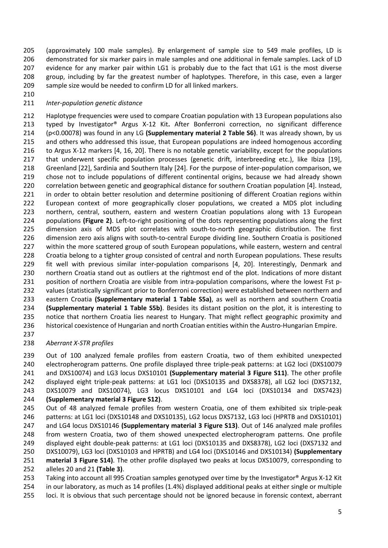(approximately 100 male samples). By enlargement of sample size to 549 male profiles, LD is demonstrated for six marker pairs in male samples and one additional in female samples. Lack of LD evidence for any marker pair within LG1 is probably due to the fact that LG1 is the most diverse group, including by far the greatest number of haplotypes. Therefore, in this case, even a larger sample size would be needed to confirm LD for all linked markers.

## *Inter-population genetic distance*

 Haplotype frequencies were used to compare Croatian population with 13 European populations also typed by Investigator® Argus X-12 Kit**.** After Bonferroni correction, no significant difference (p<0.00078) was found in any LG **(Supplementary material 2 Table S6)**. It was already shown, by us and others who addressed this issue, that European populations are indeed homogenous according to Argus X-12 markers [4, 16, 20]. There is no notable genetic variability, except for the populations 217 that underwent specific population processes (genetic drift, interbreeding etc.), like Ibiza [19], Greenland [22], Sardinia and Southern Italy [24]. For the purpose of inter-population comparison, we chose not to include populations of different continental origins, because we had already shown correlation between genetic and geographical distance for southern Croatian population [4]. Instead, in order to obtain better resolution and determine positioning of different Croatian regions within European context of more geographically closer populations, we created a MDS plot including northern, central, southern, eastern and western Croatian populations along with 13 European populations **(Figure 2)**. Left-to-right positioning of the dots representing populations along the first dimension axis of MDS plot correlates with south-to-north geographic distribution. The first dimension zero axis aligns with south-to-central Europe dividing line. Southern Croatia is positioned within the more scattered group of south European populations, while eastern, western and central Croatia belong to a tighter group consisted of central and north European populations. These results fit well with previous similar inter-population comparisons [4, 20]. Interestingly, Denmark and northern Croatia stand out as outliers at the rightmost end of the plot. Indications of more distant position of northern Croatia are visible from intra-population comparisons, where the lowest Fst p- values (statistically significant prior to Bonferroni correction) were established between northern and eastern Croatia **(Supplementary material 1 Table S5a)**, as well as northern and southern Croatia **(Supplementary material 1 Table S5b)**. Besides its distant position on the plot, it is interesting to 235 notice that northern Croatia lies nearest to Hungary. That might reflect geographic proximity and historical coexistence of Hungarian and north Croatian entities within the Austro-Hungarian Empire.

# *Aberrant X-STR profiles*

 Out of 100 analyzed female profiles from eastern Croatia, two of them exhibited unexpected electropherogram patterns. One profile displayed three triple-peak patterns: at LG2 loci (DXS10079 and DXS10074) and LG3 locus DXS10101 **(Supplementary material 3 Figure S11)**. The other profile displayed eight triple-peak patterns: at LG1 loci (DXS10135 and DXS8378), all LG2 loci (DXS7132, DXS10079 and DXS10074), LG3 locus DXS10101 and LG4 loci (DXS10134 and DXS7423) **(Supplementary material 3 Figure S12)**.

 Out of 48 analyzed female profiles from western Croatia, one of them exhibited six triple-peak patterns: at LG1 loci (DXS10148 and DXS10135), LG2 locus DXS7132, LG3 loci (HPRTB and DXS10101) and LG4 locus DXS10146 **(Supplementary material 3 Figure S13)**. Out of 146 analyzed male profiles from western Croatia, two of them showed unexpected electropherogram patterns. One profile displayed eight double-peak patterns: at LG1 loci (DXS10135 and DXS8378), LG2 loci (DXS7132 and DXS10079), LG3 loci (DXS10103 and HPRTB) and LG4 loci (DXS10146 and DXS10134) **(Supplementary material 3 Figure S14)**. The other profile displayed two peaks at locus DXS10079, corresponding to alleles 20 and 21 **(Table 3)**. Taking into account all 995 Croatian samples genotyped over time by the Investigator® Argus X-12 Kit

 in our laboratory, as much as 14 profiles (1.4%) displayed additional peaks at either single or multiple 255 loci. It is obvious that such percentage should not be ignored because in forensic context, aberrant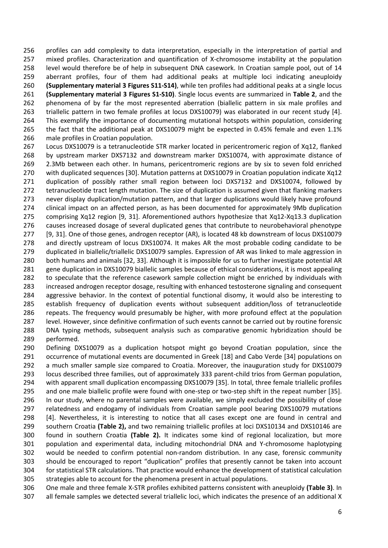profiles can add complexity to data interpretation, especially in the interpretation of partial and mixed profiles. Characterization and quantification of X-chromosome instability at the population level would therefore be of help in subsequent DNA casework. In Croatian sample pool, out of 14 aberrant profiles, four of them had additional peaks at multiple loci indicating aneuploidy **(Supplementary material 3 Figures S11-S14)**, while ten profiles had additional peaks at a single locus **(Supplementary material 3 Figures S1-S10)**. Single locus events are summarized in **Table 2**, and the 262 phenomena of by far the most represented aberration (biallelic pattern in six male profiles and triallelic pattern in two female profiles at locus DXS10079) was elaborated in our recent study [4]. This exemplify the importance of documenting mutational hotspots within population, considering the fact that the additional peak at DXS10079 might be expected in 0.45% female and even 1.1% male profiles in Croatian population.

 Locus DXS10079 is a tetranucleotide STR marker located in pericentromeric region of Xq12, flanked by upstream marker DXS7132 and downstream marker DXS10074, with approximate distance of 2.3Mb between each other. In humans, pericentromeric regions are by six to seven fold enriched with duplicated sequences [30]. Mutation patterns at DXS10079 in Croatian population indicate Xq12 duplication of possibly rather small region between loci DXS7132 and DXS10074, followed by 272 tetranucleotide tract length mutation. The size of duplication is assumed given that flanking markers never display duplication/mutation pattern, and that larger duplications would likely have profound clinical impact on an affected person, as has been documented for approximately 9Mb duplication comprising Xq12 region [9, 31]. Aforementioned authors hypothesize that Xq12-Xq13.3 duplication causes increased dosage of several duplicated genes that contribute to neurobehavioral phenotype [9, 31]. One of those genes, androgen receptor (AR), is located 48 kb downstream of locus DXS10079 and directly upstream of locus DXS10074. It makes AR the most probable coding candidate to be duplicated in biallelic/triallelic DXS10079 samples. Expression of AR was linked to male aggression in both humans and animals [32, 33]. Although it is impossible for us to further investigate potential AR gene duplication in DXS10079 biallelic samples because of ethical considerations, it is most appealing 282 to speculate that the reference casework sample collection might be enriched by individuals with increased androgen receptor dosage, resulting with enhanced testosterone signaling and consequent aggressive behavior. In the context of potential functional disomy, it would also be interesting to establish frequency of duplication events without subsequent addition/loss of tetranucleotide repeats. The frequency would presumably be higher, with more profound effect at the population level. However, since definitive confirmation of such events cannot be carried out by routine forensic DNA typing methods, subsequent analysis such as comparative genomic hybridization should be performed.

 Defining DXS10079 as a duplication hotspot might go beyond Croatian population, since the occurrence of mutational events are documented in Greek [18] and Cabo Verde [34] populations on a much smaller sample size compared to Croatia. Moreover, the inauguration study for DXS10079 locus described three families, out of approximately 333 parent-child trios from German population, 294 with apparent small duplication encompassing DXS10079 [35]. In total, three female triallelic profiles and one male biallelic profile were found with one-step or two-step shift in the repeat number [35]. In our study, where no parental samples were available, we simply excluded the possibility of close relatedness and endogamy of individuals from Croatian sample pool bearing DXS10079 mutations [4]. Nevertheless, it is interesting to notice that all cases except one are found in central and southern Croatia **(Table 2),** and two remaining triallelic profiles at loci DXS10134 and DXS10146 are found in southern Croatia **(Table 2).** It indicates some kind of regional localization, but more population and experimental data, including mitochondrial DNA and Y-chromosome haplotyping would be needed to confirm potential non-random distribution. In any case, forensic community should be encouraged to report "duplication" profiles that presently cannot be taken into account for statistical STR calculations. That practice would enhance the development of statistical calculation strategies able to account for the phenomena present in actual populations.

 One male and three female X-STR profiles exhibited patterns consistent with aneuploidy **(Table 3)**. In all female samples we detected several triallelic loci, which indicates the presence of an additional X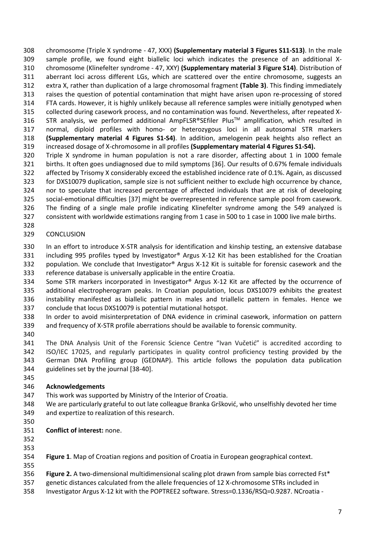chromosome (Triple X syndrome - 47, XXX) **(Supplementary material 3 Figures S11-S13)**. In the male sample profile, we found eight biallelic loci which indicates the presence of an additional X- chromosome (Klinefelter syndrome - 47, XXY) **(Supplementary material 3 Figure S14)**. Distribution of aberrant loci across different LGs, which are scattered over the entire chromosome, suggests an extra X, rather than duplication of a large chromosomal fragment **(Table 3)**. This finding immediately raises the question of potential contamination that might have arisen upon re-processing of stored FTA cards. However, it is highly unlikely because all reference samples were initially genotyped when collected during casework process, and no contamination was found. Nevertheless, after repeated X-316 STR analysis, we performed additional AmpFLSR®SEfiler Plus™ amplification, which resulted in normal, diploid profiles with homo- or heterozygous loci in all autosomal STR markers **(Supplementary material 4 Figures S1-S4)**. In addition, amelogenin peak heights also reflect an increased dosage of X-chromosome in all profiles **(Supplementary material 4 Figures S1-S4).**

 Triple X syndrome in human population is not a rare disorder, affecting about 1 in 1000 female births. It often goes undiagnosed due to mild symptoms [36]. Our results of 0.67% female individuals affected by Trisomy X considerably exceed the established incidence rate of 0.1%. Again, as discussed for DXS10079 duplication, sample size is not sufficient neither to exclude high occurrence by chance, nor to speculate that increased percentage of affected individuals that are at risk of developing social-emotional difficulties [37] might be overrepresented in reference sample pool from casework. The finding of a single male profile indicating Klinefelter syndrome among the 549 analyzed is consistent with worldwide estimations ranging from 1 case in 500 to 1 case in 1000 live male births.

## CONCLUSION

 In an effort to introduce X-STR analysis for identification and kinship testing, an extensive database including 995 profiles typed by Investigator® Argus X-12 Kit has been established for the Croatian population. We conclude that Investigator® Argus X-12 Kit is suitable for forensic casework and the reference database is universally applicable in the entire Croatia.

334 Some STR markers incorporated in Investigator® Argus X-12 Kit are affected by the occurrence of additional electropherogram peaks. In Croatian population, locus DXS10079 exhibits the greatest instability manifested as biallelic pattern in males and triallelic pattern in females. Hence we conclude that locus DXS10079 is potential mutational hotspot.

 In order to avoid misinterpretation of DNA evidence in criminal casework, information on pattern and frequency of X-STR profile aberrations should be available to forensic community.

 The DNA Analysis Unit of the Forensic Science Centre "Ivan Vučetić" is accredited according to ISO/IEC 17025, and regularly participates in quality control proficiency testing provided by the German DNA Profiling group (GEDNAP). This article follows the population data publication guidelines set by the journal [38-40].

# **Acknowledgements**

This work was supported by Ministry of the Interior of Croatia.

- We are particularly grateful to out late colleague Branka Gršković, who unselfishly devoted her time and expertize to realization of this research.
- 
- **Conflict of interest:** none.
- 

**Figure 1**. Map of Croatian regions and position of Croatia in European geographical context.

**Figure 2.** A two-dimensional multidimensional scaling plot drawn from sample bias corrected Fst\*

genetic distances calculated from the allele frequencies of 12 X-chromosome STRs included in

Investigator Argus X-12 kit with the POPTREE2 software. Stress=0.1336/RSQ=0.9287. NCroatia -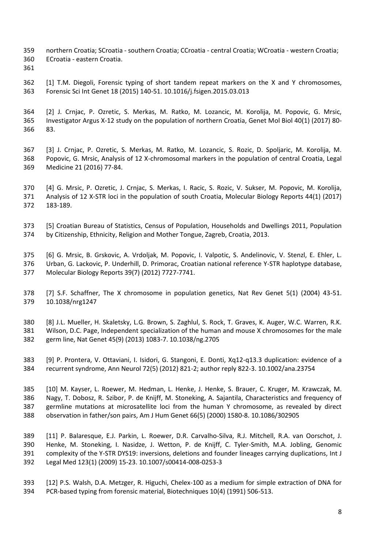- northern Croatia; SCroatia southern Croatia; CCroatia central Croatia; WCroatia western Croatia; ECroatia - eastern Croatia.
- 

 [1] T.M. Diegoli, Forensic typing of short tandem repeat markers on the X and Y chromosomes, Forensic Sci Int Genet 18 (2015) 140-51. 10.1016/j.fsigen.2015.03.013

 [2] J. Crnjac, P. Ozretic, S. Merkas, M. Ratko, M. Lozancic, M. Korolija, M. Popovic, G. Mrsic, Investigator Argus X-12 study on the population of northern Croatia, Genet Mol Biol 40(1) (2017) 80- 83.

 [3] J. Crnjac, P. Ozretic, S. Merkas, M. Ratko, M. Lozancic, S. Rozic, D. Spoljaric, M. Korolija, M. Popovic, G. Mrsic, Analysis of 12 X-chromosomal markers in the population of central Croatia, Legal Medicine 21 (2016) 77-84.

 [4] G. Mrsic, P. Ozretic, J. Crnjac, S. Merkas, I. Racic, S. Rozic, V. Sukser, M. Popovic, M. Korolija, Analysis of 12 X-STR loci in the population of south Croatia, Molecular Biology Reports 44(1) (2017) 183-189.

 [5] Croatian Bureau of Statistics, Census of Population, Households and Dwellings 2011, Population by Citizenship, Ethnicity, Religion and Mother Tongue, Zagreb, Croatia, 2013.

 [6] G. Mrsic, B. Grskovic, A. Vrdoljak, M. Popovic, I. Valpotic, S. Andelinovic, V. Stenzl, E. Ehler, L. Urban, G. Lackovic, P. Underhill, D. Primorac, Croatian national reference Y-STR haplotype database, Molecular Biology Reports 39(7) (2012) 7727-7741.

 [7] S.F. Schaffner, The X chromosome in population genetics, Nat Rev Genet 5(1) (2004) 43-51. 10.1038/nrg1247

 [8] J.L. Mueller, H. Skaletsky, L.G. Brown, S. Zaghlul, S. Rock, T. Graves, K. Auger, W.C. Warren, R.K. Wilson, D.C. Page, Independent specialization of the human and mouse X chromosomes for the male germ line, Nat Genet 45(9) (2013) 1083-7. 10.1038/ng.2705

 [9] P. Prontera, V. Ottaviani, I. Isidori, G. Stangoni, E. Donti, Xq12-q13.3 duplication: evidence of a recurrent syndrome, Ann Neurol 72(5) (2012) 821-2; author reply 822-3. 10.1002/ana.23754

 [10] M. Kayser, L. Roewer, M. Hedman, L. Henke, J. Henke, S. Brauer, C. Kruger, M. Krawczak, M. Nagy, T. Dobosz, R. Szibor, P. de Knijff, M. Stoneking, A. Sajantila, Characteristics and frequency of germline mutations at microsatellite loci from the human Y chromosome, as revealed by direct observation in father/son pairs, Am J Hum Genet 66(5) (2000) 1580-8. 10.1086/302905

 [11] P. Balaresque, E.J. Parkin, L. Roewer, D.R. Carvalho-Silva, R.J. Mitchell, R.A. van Oorschot, J. Henke, M. Stoneking, I. Nasidze, J. Wetton, P. de Knijff, C. Tyler-Smith, M.A. Jobling, Genomic complexity of the Y-STR DYS19: inversions, deletions and founder lineages carrying duplications, Int J Legal Med 123(1) (2009) 15-23. 10.1007/s00414-008-0253-3

 [12] P.S. Walsh, D.A. Metzger, R. Higuchi, Chelex-100 as a medium for simple extraction of DNA for PCR-based typing from forensic material, Biotechniques 10(4) (1991) 506-513.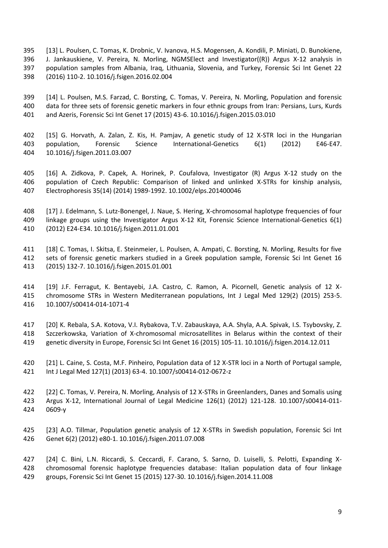[13] L. Poulsen, C. Tomas, K. Drobnic, V. Ivanova, H.S. Mogensen, A. Kondili, P. Miniati, D. Bunokiene, J. Jankauskiene, V. Pereira, N. Morling, NGMSElect and Investigator((R)) Argus X-12 analysis in population samples from Albania, Iraq, Lithuania, Slovenia, and Turkey, Forensic Sci Int Genet 22 (2016) 110-2. 10.1016/j.fsigen.2016.02.004

 [14] L. Poulsen, M.S. Farzad, C. Borsting, C. Tomas, V. Pereira, N. Morling, Population and forensic data for three sets of forensic genetic markers in four ethnic groups from Iran: Persians, Lurs, Kurds and Azeris, Forensic Sci Int Genet 17 (2015) 43-6. 10.1016/j.fsigen.2015.03.010

 [15] G. Horvath, A. Zalan, Z. Kis, H. Pamjav, A genetic study of 12 X-STR loci in the Hungarian population, Forensic Science International-Genetics 6(1) (2012) E46-E47. 10.1016/j.fsigen.2011.03.007

 [16] A. Zidkova, P. Capek, A. Horinek, P. Coufalova, Investigator (R) Argus X-12 study on the population of Czech Republic: Comparison of linked and unlinked X-STRs for kinship analysis, Electrophoresis 35(14) (2014) 1989-1992. 10.1002/elps.201400046

 [17] J. Edelmann, S. Lutz-Bonengel, J. Naue, S. Hering, X-chromosomal haplotype frequencies of four linkage groups using the Investigator Argus X-12 Kit, Forensic Science International-Genetics 6(1) (2012) E24-E34. 10.1016/j.fsigen.2011.01.001

 [18] C. Tomas, I. Skitsa, E. Steinmeier, L. Poulsen, A. Ampati, C. Borsting, N. Morling, Results for five sets of forensic genetic markers studied in a Greek population sample, Forensic Sci Int Genet 16 (2015) 132-7. 10.1016/j.fsigen.2015.01.001

 [19] J.F. Ferragut, K. Bentayebi, J.A. Castro, C. Ramon, A. Picornell, Genetic analysis of 12 X- chromosome STRs in Western Mediterranean populations, Int J Legal Med 129(2) (2015) 253-5. 10.1007/s00414-014-1071-4

 [20] K. Rebala, S.A. Kotova, V.I. Rybakova, T.V. Zabauskaya, A.A. Shyla, A.A. Spivak, I.S. Tsybovsky, Z. Szczerkowska, Variation of X-chromosomal microsatellites in Belarus within the context of their genetic diversity in Europe, Forensic Sci Int Genet 16 (2015) 105-11. 10.1016/j.fsigen.2014.12.011

 [21] L. Caine, S. Costa, M.F. Pinheiro, Population data of 12 X-STR loci in a North of Portugal sample, Int J Legal Med 127(1) (2013) 63-4. 10.1007/s00414-012-0672-z

 [22] C. Tomas, V. Pereira, N. Morling, Analysis of 12 X-STRs in Greenlanders, Danes and Somalis using Argus X-12, International Journal of Legal Medicine 126(1) (2012) 121-128. 10.1007/s00414-011- 0609-y

 [23] A.O. Tillmar, Population genetic analysis of 12 X-STRs in Swedish population, Forensic Sci Int Genet 6(2) (2012) e80-1. 10.1016/j.fsigen.2011.07.008

 [24] C. Bini, L.N. Riccardi, S. Ceccardi, F. Carano, S. Sarno, D. Luiselli, S. Pelotti, Expanding X- chromosomal forensic haplotype frequencies database: Italian population data of four linkage groups, Forensic Sci Int Genet 15 (2015) 127-30. 10.1016/j.fsigen.2014.11.008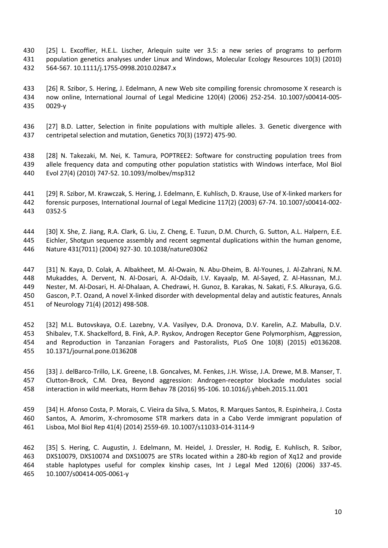- [25] L. Excoffier, H.E.L. Lischer, Arlequin suite ver 3.5: a new series of programs to perform population genetics analyses under Linux and Windows, Molecular Ecology Resources 10(3) (2010) 564-567. 10.1111/j.1755-0998.2010.02847.x
- [26] R. Szibor, S. Hering, J. Edelmann, A new Web site compiling forensic chromosome X research is now online, International Journal of Legal Medicine 120(4) (2006) 252-254. 10.1007/s00414-005- 0029-y
- [27] B.D. Latter, Selection in finite populations with multiple alleles. 3. Genetic divergence with centripetal selection and mutation, Genetics 70(3) (1972) 475-90.
- [28] N. Takezaki, M. Nei, K. Tamura, POPTREE2: Software for constructing population trees from allele frequency data and computing other population statistics with Windows interface, Mol Biol Evol 27(4) (2010) 747-52. 10.1093/molbev/msp312
- [29] R. Szibor, M. Krawczak, S. Hering, J. Edelmann, E. Kuhlisch, D. Krause, Use of X-linked markers for forensic purposes, International Journal of Legal Medicine 117(2) (2003) 67-74. 10.1007/s00414-002- 0352-5
- [30] X. She, Z. Jiang, R.A. Clark, G. Liu, Z. Cheng, E. Tuzun, D.M. Church, G. Sutton, A.L. Halpern, E.E. Eichler, Shotgun sequence assembly and recent segmental duplications within the human genome, Nature 431(7011) (2004) 927-30. 10.1038/nature03062
- [31] N. Kaya, D. Colak, A. Albakheet, M. Al-Owain, N. Abu-Dheim, B. Al-Younes, J. Al-Zahrani, N.M. Mukaddes, A. Dervent, N. Al-Dosari, A. Al-Odaib, I.V. Kayaalp, M. Al-Sayed, Z. Al-Hassnan, M.J. Nester, M. Al-Dosari, H. Al-Dhalaan, A. Chedrawi, H. Gunoz, B. Karakas, N. Sakati, F.S. Alkuraya, G.G. Gascon, P.T. Ozand, A novel X-linked disorder with developmental delay and autistic features, Annals of Neurology 71(4) (2012) 498-508.
- [32] M.L. Butovskaya, O.E. Lazebny, V.A. Vasilyev, D.A. Dronova, D.V. Karelin, A.Z. Mabulla, D.V. Shibalev, T.K. Shackelford, B. Fink, A.P. Ryskov, Androgen Receptor Gene Polymorphism, Aggression, and Reproduction in Tanzanian Foragers and Pastoralists, PLoS One 10(8) (2015) e0136208. 10.1371/journal.pone.0136208
- [33] J. delBarco-Trillo, L.K. Greene, I.B. Goncalves, M. Fenkes, J.H. Wisse, J.A. Drewe, M.B. Manser, T. Clutton-Brock, C.M. Drea, Beyond aggression: Androgen-receptor blockade modulates social interaction in wild meerkats, Horm Behav 78 (2016) 95-106. 10.1016/j.yhbeh.2015.11.001
- [34] H. Afonso Costa, P. Morais, C. Vieira da Silva, S. Matos, R. Marques Santos, R. Espinheira, J. Costa Santos, A. Amorim, X-chromosome STR markers data in a Cabo Verde immigrant population of Lisboa, Mol Biol Rep 41(4) (2014) 2559-69. 10.1007/s11033-014-3114-9

 [35] S. Hering, C. Augustin, J. Edelmann, M. Heidel, J. Dressler, H. Rodig, E. Kuhlisch, R. Szibor, DXS10079, DXS10074 and DXS10075 are STRs located within a 280-kb region of Xq12 and provide stable haplotypes useful for complex kinship cases, Int J Legal Med 120(6) (2006) 337-45. 10.1007/s00414-005-0061-y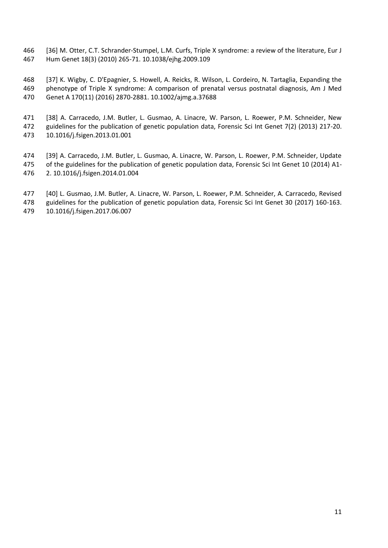[36] M. Otter, C.T. Schrander-Stumpel, L.M. Curfs, Triple X syndrome: a review of the literature, Eur J Hum Genet 18(3) (2010) 265-71. 10.1038/ejhg.2009.109

 [37] K. Wigby, C. D'Epagnier, S. Howell, A. Reicks, R. Wilson, L. Cordeiro, N. Tartaglia, Expanding the phenotype of Triple X syndrome: A comparison of prenatal versus postnatal diagnosis, Am J Med Genet A 170(11) (2016) 2870-2881. 10.1002/ajmg.a.37688

 [38] A. Carracedo, J.M. Butler, L. Gusmao, A. Linacre, W. Parson, L. Roewer, P.M. Schneider, New guidelines for the publication of genetic population data, Forensic Sci Int Genet 7(2) (2013) 217-20. 10.1016/j.fsigen.2013.01.001

- [39] A. Carracedo, J.M. Butler, L. Gusmao, A. Linacre, W. Parson, L. Roewer, P.M. Schneider, Update of the guidelines for the publication of genetic population data, Forensic Sci Int Genet 10 (2014) A1- 2. 10.1016/j.fsigen.2014.01.004
- [40] L. Gusmao, J.M. Butler, A. Linacre, W. Parson, L. Roewer, P.M. Schneider, A. Carracedo, Revised
- guidelines for the publication of genetic population data, Forensic Sci Int Genet 30 (2017) 160-163.
- 10.1016/j.fsigen.2017.06.007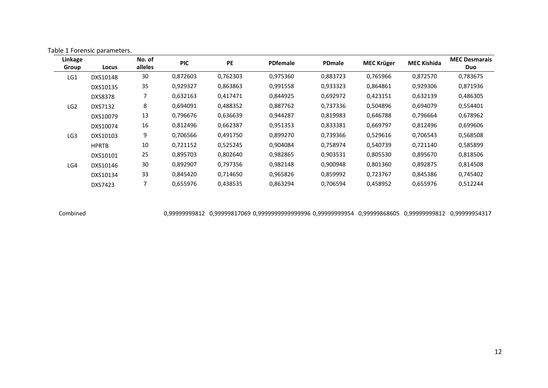| Linkage<br>Group | Locus          | No. of<br>alleles | <b>PIC</b> | PE       | <b>PDfemale</b> | PDmale   | <b>MEC Krüger</b> | <b>MEC Kishida</b> | <b>MEC Desmarais</b><br>Duo |
|------------------|----------------|-------------------|------------|----------|-----------------|----------|-------------------|--------------------|-----------------------------|
| LG1              | DXS10148       | 30                | 0,872603   | 0,762303 | 0,975360        | 0,883723 | 0,765966          | 0,872570           | 0,783675                    |
|                  | DXS10135       | 35                | 0,929327   | 0,863863 | 0,991558        | 0,933323 | 0,864861          | 0,929306           | 0,871936                    |
|                  | <b>DXS8378</b> |                   | 0,632163   | 0,417471 | 0,844925        | 0,692972 | 0,423151          | 0,632139           | 0,486305                    |
| LG <sub>2</sub>  | DXS7132        | 8                 | 0,694091   | 0,488352 | 0.887762        | 0,737336 | 0,504896          | 0,694079           | 0,554401                    |
|                  | DXS10079       | 13                | 0,796676   | 0,636639 | 0,944287        | 0,819983 | 0,646788          | 0,796664           | 0,678962                    |
|                  | DXS10074       | 16                | 0,812496   | 0,662387 | 0,951353        | 0,833381 | 0,669797          | 0,812496           | 0,699606                    |
| LG <sub>3</sub>  | DXS10103       | 9                 | 0,706566   | 0,491750 | 0,899270        | 0,739366 | 0,529616          | 0,706543           | 0,568508                    |
|                  | <b>HPRTB</b>   | 10                | 0,721152   | 0,525245 | 0,904084        | 0,758974 | 0,540739          | 0,721140           | 0,585899                    |
|                  | DXS10101       | 25                | 0,895703   | 0,802640 | 0,982865        | 0,903531 | 0,805530          | 0,895670           | 0,818506                    |
| LG4              | DXS10146       | 30                | 0,892907   | 0,797356 | 0,982148        | 0,900948 | 0,801360          | 0,892875           | 0,814508                    |
|                  | DXS10134       | 33                | 0.845420   | 0,714650 | 0,965826        | 0,859992 | 0,723767          | 0,845386           | 0,745402                    |
|                  | DXS7423        |                   | 0,655976   | 0,438535 | 0,863294        | 0,706594 | 0,458952          | 0,655976           | 0,512244                    |

Table 1 Forensic parameters.

Combined 0,99999999812 0,99999817069 0,9999999999999996 0,99999999954 0,99999868605 0,99999999812 0,99999954317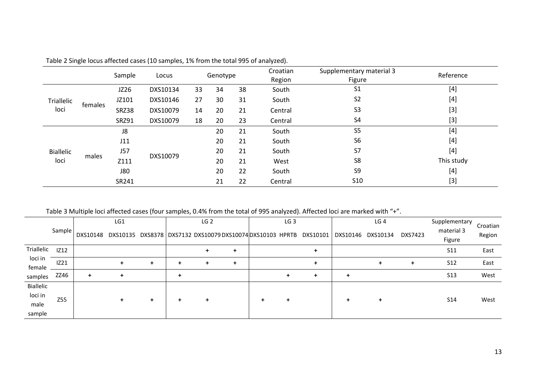|                          |         | Sample       | Locus    |          | Genotype |    | Croatian<br>Region | Supplementary material 3<br>Figure | Reference  |  |
|--------------------------|---------|--------------|----------|----------|----------|----|--------------------|------------------------------------|------------|--|
| Triallelic<br>loci       | females | JZ26         | DXS10134 | 33       | 34       | 38 | South              | S <sub>1</sub>                     | $[4]$      |  |
|                          |         | JZ101        | DXS10146 | 27<br>30 |          | 31 | South              | S <sub>2</sub>                     | $[4]$      |  |
|                          |         | SRZ38        | DXS10079 | 14       |          | 21 | Central            | S <sub>3</sub>                     | $[3]$      |  |
|                          |         | <b>SRZ91</b> | DXS10079 | 18<br>20 |          | 23 | Central            | S4                                 | $[3]$      |  |
|                          | males   | J8           |          |          | 20       | 21 | South              | S <sub>5</sub>                     | $[4]$      |  |
| <b>Biallelic</b><br>loci |         | J11          | DXS10079 |          | 20       | 21 | South              | S <sub>6</sub>                     | $[4]$      |  |
|                          |         | <b>J57</b>   |          |          | 20       | 21 | South              | S7                                 | $[4]$      |  |
|                          |         | Z111         |          |          | 20<br>21 |    | West               | S8                                 | This study |  |
|                          |         | <b>J80</b>   |          |          | 20       | 22 | South              | S9                                 | $[4]$      |  |
|                          |         | SR241        |          |          | 21       | 22 | Central            | S <sub>10</sub>                    | $[3]$      |  |

Table 2 Single locus affected cases (10 samples, 1% from the total 995 of analyzed).

Table 3 Multiple loci affected cases (four samples, 0.4% from the total of 995 analyzed). Affected loci are marked with "+".

|                   |             | LG1      |           |   | LG <sub>2</sub> |           |   | LG <sub>3</sub>                                    |  |           | LG <sub>4</sub> |          |         | Supplementary   | Croatian |  |
|-------------------|-------------|----------|-----------|---|-----------------|-----------|---|----------------------------------------------------|--|-----------|-----------------|----------|---------|-----------------|----------|--|
|                   | Sample      | DXS10148 | DXS10135  |   |                 |           |   | DXS8378   DXS7132 DXS10079 DXS10074 DXS10103 HPRTB |  | DXS10101  | DXS10146        | DXS10134 | DXS7423 | material 3      | Region   |  |
|                   |             |          |           |   |                 |           |   |                                                    |  |           |                 |          |         | Figure          |          |  |
| Triallelic        | <b>IZ12</b> |          |           |   |                 |           | ÷ |                                                    |  | $\ddot{}$ |                 |          |         | S <sub>11</sub> | East     |  |
| loci in<br>female | IZ21        |          | $\ddot{}$ | ٠ | $\ddot{}$       | $\ddot{}$ | ÷ |                                                    |  | $\ddot{}$ |                 | $\pm$    | $+$     | <b>S12</b>      | East     |  |
| samples           | ZZ46        | ÷        | ÷         |   | ÷               |           |   |                                                    |  | $\ddot{}$ |                 |          |         | <b>S13</b>      | West     |  |
| Biallelic         |             |          |           |   |                 |           |   |                                                    |  |           |                 |          |         |                 |          |  |
| loci in           | Z55         |          |           | ÷ | $\ddot{}$       | ÷         |   | ÷                                                  |  |           | $\ddot{}$       | ÷        |         | S <sub>14</sub> | West     |  |
| male              |             |          |           |   |                 |           |   |                                                    |  |           |                 |          |         |                 |          |  |
| sample            |             |          |           |   |                 |           |   |                                                    |  |           |                 |          |         |                 |          |  |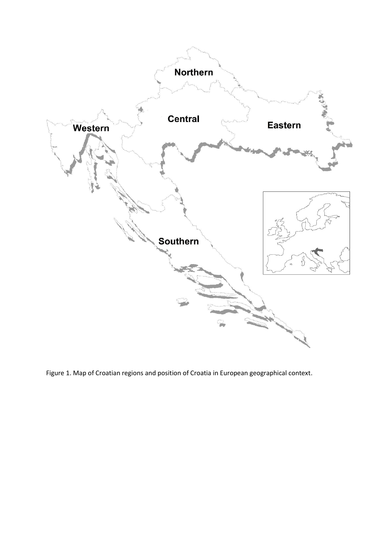

Figure 1. Map of Croatian regions and position of Croatia in European geographical context.